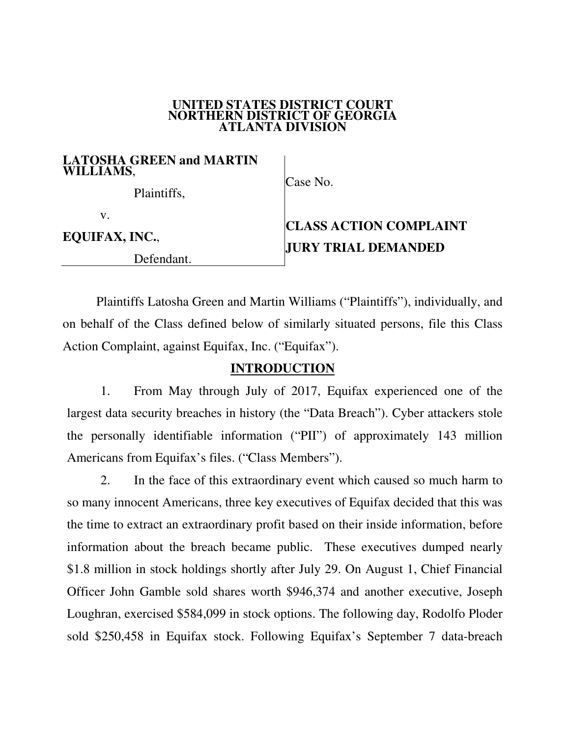#### **UNITED STATES DISTRICT COURT NORTHERN DISTRICT OF GEORGIA ATLANTA DIVISION**

#### **LATOSHA GREEN and MARTIN WILLIAMS**,

Plaintiffs,

Case No.

v.

**EQUIFAX, INC.**,

Defendant.

# **CLASS ACTION COMPLAINT JURY TRIAL DEMANDED**

Plaintiffs Latosha Green and Martin Williams ("Plaintiffs"), individually, and on behalf of the Class defined below of similarly situated persons, file this Class Action Complaint, against Equifax, Inc. ("Equifax").

# **INTRODUCTION**

1. From May through July of 2017, Equifax experienced one of the largest data security breaches in history (the "Data Breach"). Cyber attackers stole the personally identifiable information ("PII") of approximately 143 million Americans from Equifax's files. ("Class Members").

2. In the face of this extraordinary event which caused so much harm to so many innocent Americans, three key executives of Equifax decided that this was the time to extract an extraordinary profit based on their inside information, before information about the breach became public. These executives dumped nearly \$1.8 million in stock holdings shortly after July 29. On August 1, Chief Financial Officer John Gamble sold shares worth \$946,374 and another executive, Joseph Loughran, exercised \$584,099 in stock options. The following day, Rodolfo Ploder sold \$250,458 in Equifax stock. Following Equifax's September 7 data-breach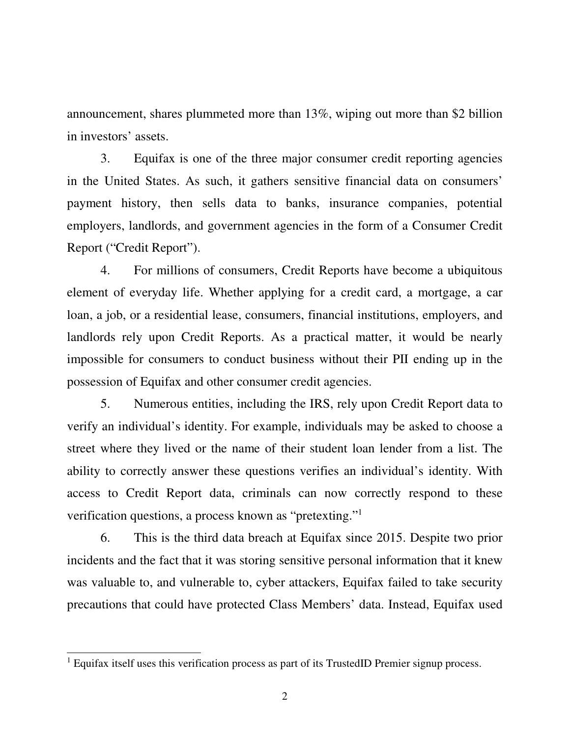announcement, shares plummeted more than 13%, wiping out more than \$2 billion in investors' assets.

3. Equifax is one of the three major consumer credit reporting agencies in the United States. As such, it gathers sensitive financial data on consumers' payment history, then sells data to banks, insurance companies, potential employers, landlords, and government agencies in the form of a Consumer Credit Report ("Credit Report").

4. For millions of consumers, Credit Reports have become a ubiquitous element of everyday life. Whether applying for a credit card, a mortgage, a car loan, a job, or a residential lease, consumers, financial institutions, employers, and landlords rely upon Credit Reports. As a practical matter, it would be nearly impossible for consumers to conduct business without their PII ending up in the possession of Equifax and other consumer credit agencies.

5. Numerous entities, including the IRS, rely upon Credit Report data to verify an individual's identity. For example, individuals may be asked to choose a street where they lived or the name of their student loan lender from a list. The ability to correctly answer these questions verifies an individual's identity. With access to Credit Report data, criminals can now correctly respond to these verification questions, a process known as "pretexting."<sup>1</sup>

6. This is the third data breach at Equifax since 2015. Despite two prior incidents and the fact that it was storing sensitive personal information that it knew was valuable to, and vulnerable to, cyber attackers, Equifax failed to take security precautions that could have protected Class Members' data. Instead, Equifax used

 $\overline{a}$ 

<sup>&</sup>lt;sup>1</sup> Equifax itself uses this verification process as part of its TrustedID Premier signup process.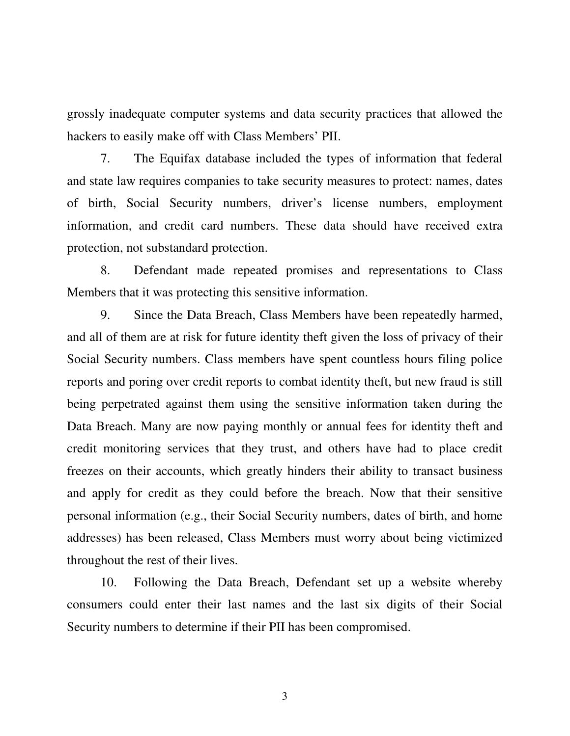grossly inadequate computer systems and data security practices that allowed the hackers to easily make off with Class Members' PII.

7. The Equifax database included the types of information that federal and state law requires companies to take security measures to protect: names, dates of birth, Social Security numbers, driver's license numbers, employment information, and credit card numbers. These data should have received extra protection, not substandard protection.

8. Defendant made repeated promises and representations to Class Members that it was protecting this sensitive information.

9. Since the Data Breach, Class Members have been repeatedly harmed, and all of them are at risk for future identity theft given the loss of privacy of their Social Security numbers. Class members have spent countless hours filing police reports and poring over credit reports to combat identity theft, but new fraud is still being perpetrated against them using the sensitive information taken during the Data Breach. Many are now paying monthly or annual fees for identity theft and credit monitoring services that they trust, and others have had to place credit freezes on their accounts, which greatly hinders their ability to transact business and apply for credit as they could before the breach. Now that their sensitive personal information (e.g., their Social Security numbers, dates of birth, and home addresses) has been released, Class Members must worry about being victimized throughout the rest of their lives.

10. Following the Data Breach, Defendant set up a website whereby consumers could enter their last names and the last six digits of their Social Security numbers to determine if their PII has been compromised.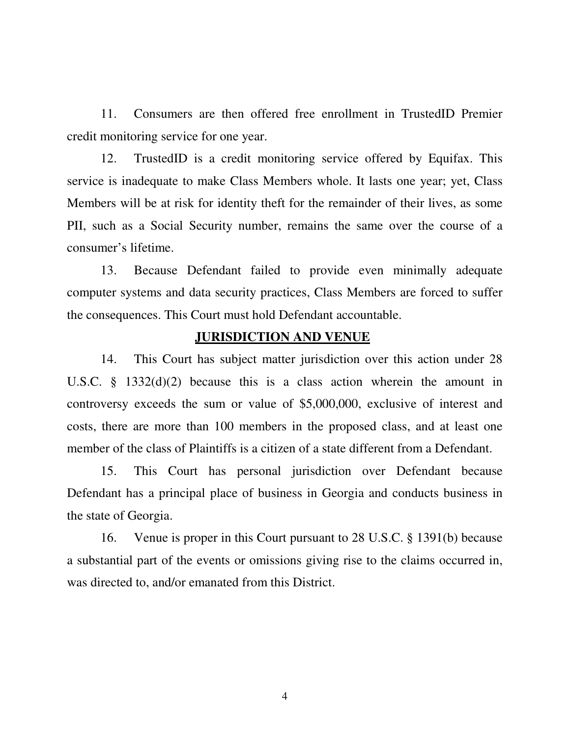11. Consumers are then offered free enrollment in TrustedID Premier credit monitoring service for one year.

12. TrustedID is a credit monitoring service offered by Equifax. This service is inadequate to make Class Members whole. It lasts one year; yet, Class Members will be at risk for identity theft for the remainder of their lives, as some PII, such as a Social Security number, remains the same over the course of a consumer's lifetime.

13. Because Defendant failed to provide even minimally adequate computer systems and data security practices, Class Members are forced to suffer the consequences. This Court must hold Defendant accountable.

#### **JURISDICTION AND VENUE**

14. This Court has subject matter jurisdiction over this action under 28 U.S.C. § 1332(d)(2) because this is a class action wherein the amount in controversy exceeds the sum or value of \$5,000,000, exclusive of interest and costs, there are more than 100 members in the proposed class, and at least one member of the class of Plaintiffs is a citizen of a state different from a Defendant.

15. This Court has personal jurisdiction over Defendant because Defendant has a principal place of business in Georgia and conducts business in the state of Georgia.

16. Venue is proper in this Court pursuant to 28 U.S.C. § 1391(b) because a substantial part of the events or omissions giving rise to the claims occurred in, was directed to, and/or emanated from this District.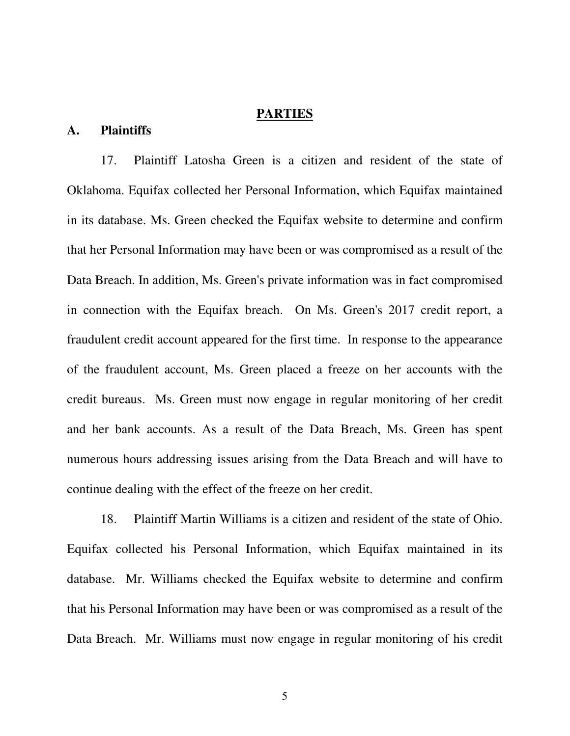# **PARTIES**

#### **A. Plaintiffs**

17. Plaintiff Latosha Green is a citizen and resident of the state of Oklahoma. Equifax collected her Personal Information, which Equifax maintained in its database. Ms. Green checked the Equifax website to determine and confirm that her Personal Information may have been or was compromised as a result of the Data Breach. In addition, Ms. Green's private information was in fact compromised in connection with the Equifax breach. On Ms. Green's 2017 credit report, a fraudulent credit account appeared for the first time. In response to the appearance of the fraudulent account, Ms. Green placed a freeze on her accounts with the credit bureaus. Ms. Green must now engage in regular monitoring of her credit and her bank accounts. As a result of the Data Breach, Ms. Green has spent numerous hours addressing issues arising from the Data Breach and will have to continue dealing with the effect of the freeze on her credit.

18. Plaintiff Martin Williams is a citizen and resident of the state of Ohio. Equifax collected his Personal Information, which Equifax maintained in its database. Mr. Williams checked the Equifax website to determine and confirm that his Personal Information may have been or was compromised as a result of the Data Breach. Mr. Williams must now engage in regular monitoring of his credit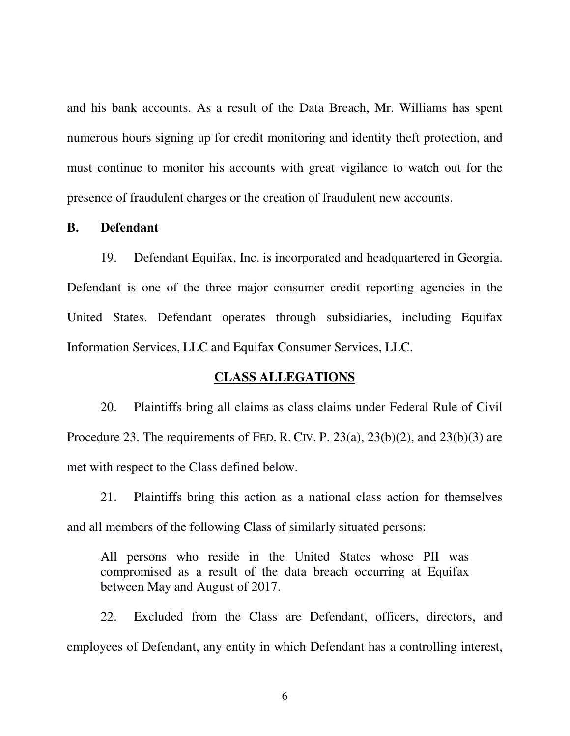and his bank accounts. As a result of the Data Breach, Mr. Williams has spent numerous hours signing up for credit monitoring and identity theft protection, and must continue to monitor his accounts with great vigilance to watch out for the presence of fraudulent charges or the creation of fraudulent new accounts.

#### **B. Defendant**

19. Defendant Equifax, Inc. is incorporated and headquartered in Georgia. Defendant is one of the three major consumer credit reporting agencies in the United States. Defendant operates through subsidiaries, including Equifax Information Services, LLC and Equifax Consumer Services, LLC.

#### **CLASS ALLEGATIONS**

20. Plaintiffs bring all claims as class claims under Federal Rule of Civil Procedure 23. The requirements of FED. R. CIV. P.  $23(a)$ ,  $23(b)(2)$ , and  $23(b)(3)$  are met with respect to the Class defined below.

21. Plaintiffs bring this action as a national class action for themselves and all members of the following Class of similarly situated persons:

All persons who reside in the United States whose PII was compromised as a result of the data breach occurring at Equifax between May and August of 2017.

22. Excluded from the Class are Defendant, officers, directors, and employees of Defendant, any entity in which Defendant has a controlling interest,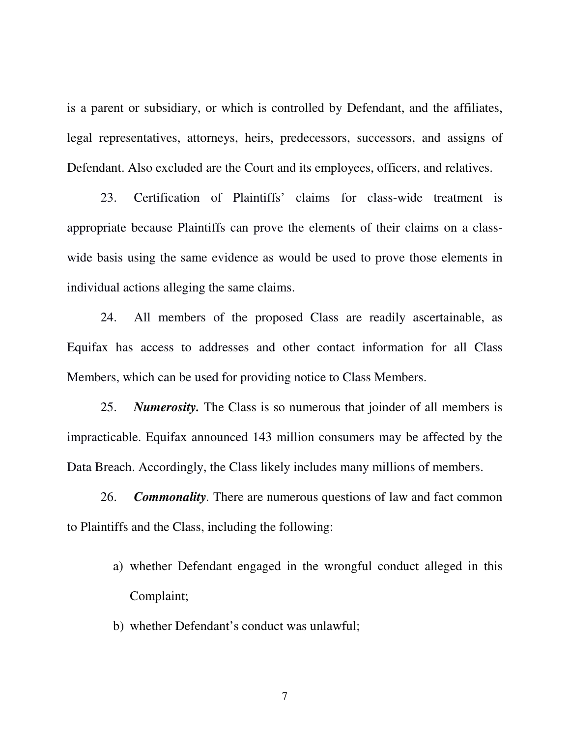is a parent or subsidiary, or which is controlled by Defendant, and the affiliates, legal representatives, attorneys, heirs, predecessors, successors, and assigns of Defendant. Also excluded are the Court and its employees, officers, and relatives.

23. Certification of Plaintiffs' claims for class-wide treatment is appropriate because Plaintiffs can prove the elements of their claims on a classwide basis using the same evidence as would be used to prove those elements in individual actions alleging the same claims.

24. All members of the proposed Class are readily ascertainable, as Equifax has access to addresses and other contact information for all Class Members, which can be used for providing notice to Class Members.

25. *Numerosity.* The Class is so numerous that joinder of all members is impracticable. Equifax announced 143 million consumers may be affected by the Data Breach. Accordingly, the Class likely includes many millions of members.

26. *Commonality.* There are numerous questions of law and fact common to Plaintiffs and the Class, including the following:

- a) whether Defendant engaged in the wrongful conduct alleged in this Complaint;
- b) whether Defendant's conduct was unlawful;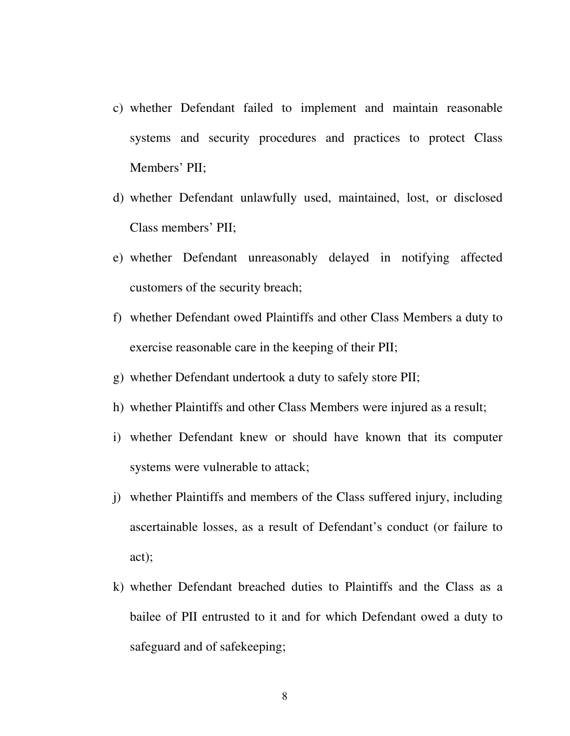- c) whether Defendant failed to implement and maintain reasonable systems and security procedures and practices to protect Class Members' PII;
- d) whether Defendant unlawfully used, maintained, lost, or disclosed Class members' PII;
- e) whether Defendant unreasonably delayed in notifying affected customers of the security breach;
- f) whether Defendant owed Plaintiffs and other Class Members a duty to exercise reasonable care in the keeping of their PII;
- g) whether Defendant undertook a duty to safely store PII;
- h) whether Plaintiffs and other Class Members were injured as a result;
- i) whether Defendant knew or should have known that its computer systems were vulnerable to attack;
- j) whether Plaintiffs and members of the Class suffered injury, including ascertainable losses, as a result of Defendant's conduct (or failure to act);
- k) whether Defendant breached duties to Plaintiffs and the Class as a bailee of PII entrusted to it and for which Defendant owed a duty to safeguard and of safekeeping;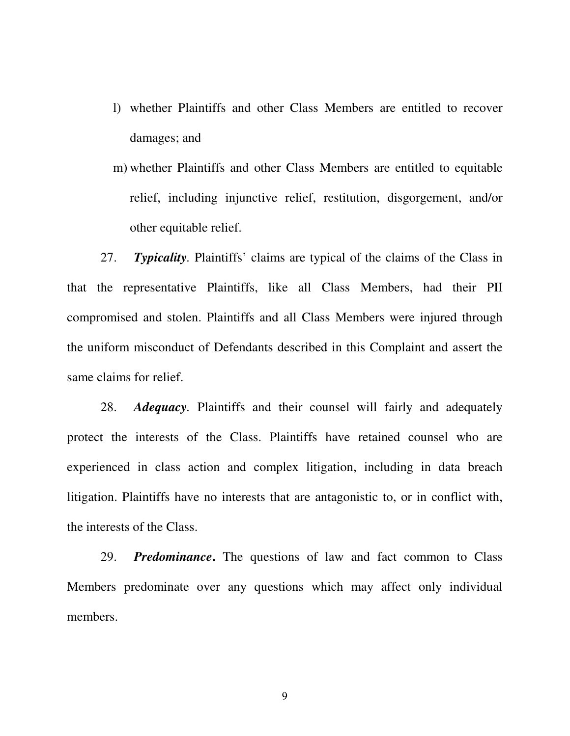- l) whether Plaintiffs and other Class Members are entitled to recover damages; and
- m) whether Plaintiffs and other Class Members are entitled to equitable relief, including injunctive relief, restitution, disgorgement, and/or other equitable relief.

27. *Typicality.* Plaintiffs' claims are typical of the claims of the Class in that the representative Plaintiffs, like all Class Members, had their PII compromised and stolen. Plaintiffs and all Class Members were injured through the uniform misconduct of Defendants described in this Complaint and assert the same claims for relief.

28. *Adequacy.* Plaintiffs and their counsel will fairly and adequately protect the interests of the Class. Plaintiffs have retained counsel who are experienced in class action and complex litigation, including in data breach litigation. Plaintiffs have no interests that are antagonistic to, or in conflict with, the interests of the Class.

29. *Predominance***.** The questions of law and fact common to Class Members predominate over any questions which may affect only individual members.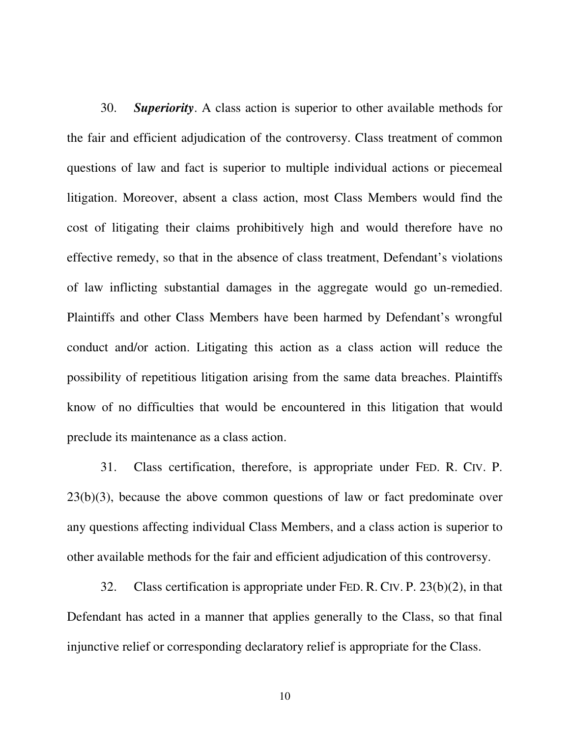30. *Superiority*. A class action is superior to other available methods for the fair and efficient adjudication of the controversy. Class treatment of common questions of law and fact is superior to multiple individual actions or piecemeal litigation. Moreover, absent a class action, most Class Members would find the cost of litigating their claims prohibitively high and would therefore have no effective remedy, so that in the absence of class treatment, Defendant's violations of law inflicting substantial damages in the aggregate would go un-remedied. Plaintiffs and other Class Members have been harmed by Defendant's wrongful conduct and/or action. Litigating this action as a class action will reduce the possibility of repetitious litigation arising from the same data breaches. Plaintiffs know of no difficulties that would be encountered in this litigation that would preclude its maintenance as a class action.

31. Class certification, therefore, is appropriate under FED. R. CIV. P. 23(b)(3), because the above common questions of law or fact predominate over any questions affecting individual Class Members, and a class action is superior to other available methods for the fair and efficient adjudication of this controversy.

32. Class certification is appropriate under FED. R. CIV. P. 23(b)(2), in that Defendant has acted in a manner that applies generally to the Class, so that final injunctive relief or corresponding declaratory relief is appropriate for the Class.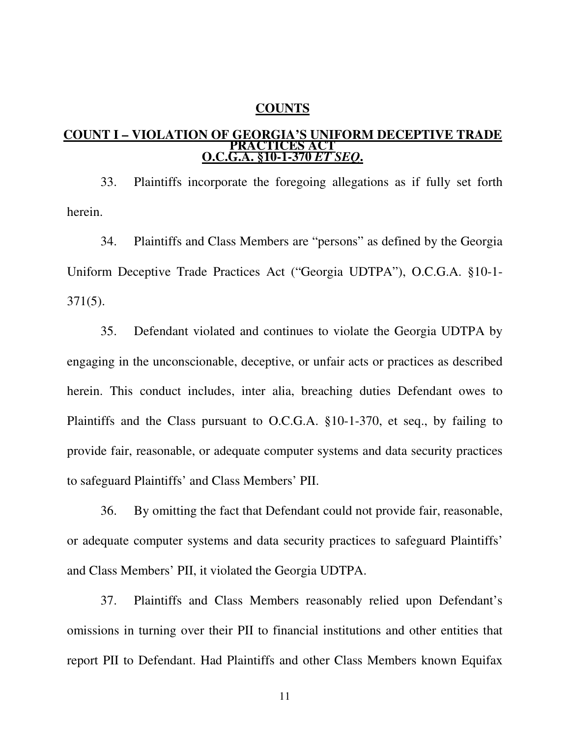#### **COUNTS**

#### **COUNT I – VIOLATION OF GEORGIA'S UNIFORM DECEPTIVE TRADE PRACTICES ACT O.C.G.A. §10-1-370** *ET SEQ***.**

33. Plaintiffs incorporate the foregoing allegations as if fully set forth herein.

34. Plaintiffs and Class Members are "persons" as defined by the Georgia Uniform Deceptive Trade Practices Act ("Georgia UDTPA"), O.C.G.A. §10-1- 371(5).

35. Defendant violated and continues to violate the Georgia UDTPA by engaging in the unconscionable, deceptive, or unfair acts or practices as described herein. This conduct includes, inter alia, breaching duties Defendant owes to Plaintiffs and the Class pursuant to O.C.G.A. §10-1-370, et seq., by failing to provide fair, reasonable, or adequate computer systems and data security practices to safeguard Plaintiffs' and Class Members' PII.

36. By omitting the fact that Defendant could not provide fair, reasonable, or adequate computer systems and data security practices to safeguard Plaintiffs' and Class Members' PII, it violated the Georgia UDTPA.

37. Plaintiffs and Class Members reasonably relied upon Defendant's omissions in turning over their PII to financial institutions and other entities that report PII to Defendant. Had Plaintiffs and other Class Members known Equifax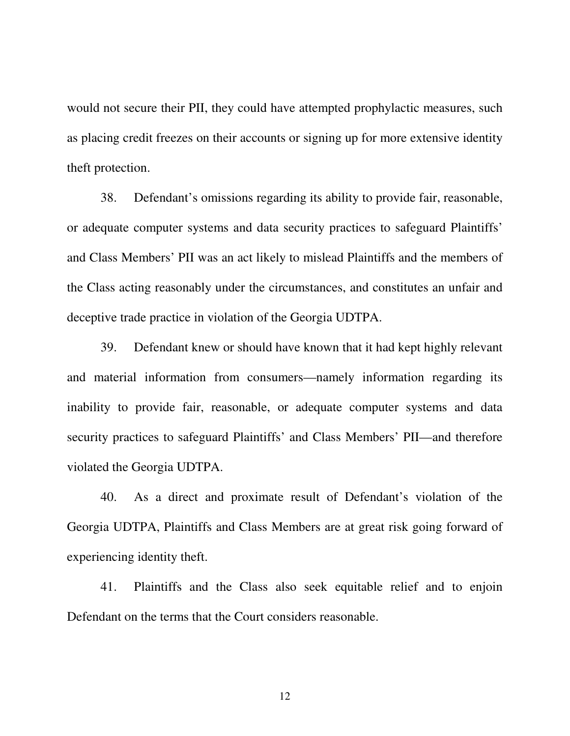would not secure their PII, they could have attempted prophylactic measures, such as placing credit freezes on their accounts or signing up for more extensive identity theft protection.

38. Defendant's omissions regarding its ability to provide fair, reasonable, or adequate computer systems and data security practices to safeguard Plaintiffs' and Class Members' PII was an act likely to mislead Plaintiffs and the members of the Class acting reasonably under the circumstances, and constitutes an unfair and deceptive trade practice in violation of the Georgia UDTPA.

39. Defendant knew or should have known that it had kept highly relevant and material information from consumers—namely information regarding its inability to provide fair, reasonable, or adequate computer systems and data security practices to safeguard Plaintiffs' and Class Members' PII—and therefore violated the Georgia UDTPA.

40. As a direct and proximate result of Defendant's violation of the Georgia UDTPA, Plaintiffs and Class Members are at great risk going forward of experiencing identity theft.

41. Plaintiffs and the Class also seek equitable relief and to enjoin Defendant on the terms that the Court considers reasonable.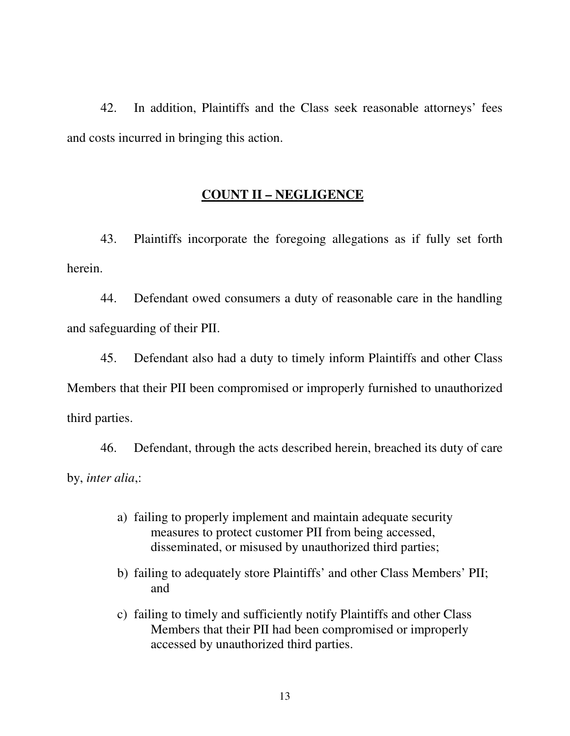42. In addition, Plaintiffs and the Class seek reasonable attorneys' fees and costs incurred in bringing this action.

## **COUNT II – NEGLIGENCE**

43. Plaintiffs incorporate the foregoing allegations as if fully set forth herein.

44. Defendant owed consumers a duty of reasonable care in the handling and safeguarding of their PII.

45. Defendant also had a duty to timely inform Plaintiffs and other Class Members that their PII been compromised or improperly furnished to unauthorized third parties.

46. Defendant, through the acts described herein, breached its duty of care by, *inter alia*,:

- a) failing to properly implement and maintain adequate security measures to protect customer PII from being accessed, disseminated, or misused by unauthorized third parties;
- b) failing to adequately store Plaintiffs' and other Class Members' PII; and
- c) failing to timely and sufficiently notify Plaintiffs and other Class Members that their PII had been compromised or improperly accessed by unauthorized third parties.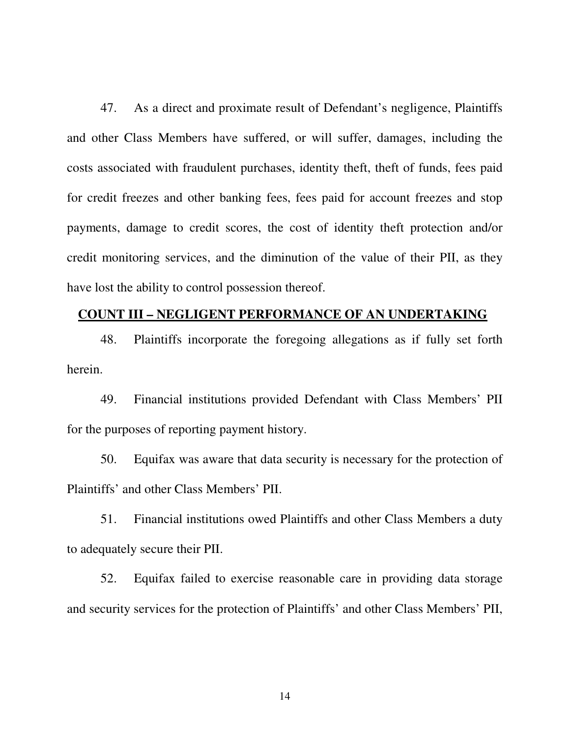47. As a direct and proximate result of Defendant's negligence, Plaintiffs and other Class Members have suffered, or will suffer, damages, including the costs associated with fraudulent purchases, identity theft, theft of funds, fees paid for credit freezes and other banking fees, fees paid for account freezes and stop payments, damage to credit scores, the cost of identity theft protection and/or credit monitoring services, and the diminution of the value of their PII, as they have lost the ability to control possession thereof.

# **COUNT III – NEGLIGENT PERFORMANCE OF AN UNDERTAKING**

48. Plaintiffs incorporate the foregoing allegations as if fully set forth herein.

49. Financial institutions provided Defendant with Class Members' PII for the purposes of reporting payment history.

50. Equifax was aware that data security is necessary for the protection of Plaintiffs' and other Class Members' PII.

51. Financial institutions owed Plaintiffs and other Class Members a duty to adequately secure their PII.

52. Equifax failed to exercise reasonable care in providing data storage and security services for the protection of Plaintiffs' and other Class Members' PII,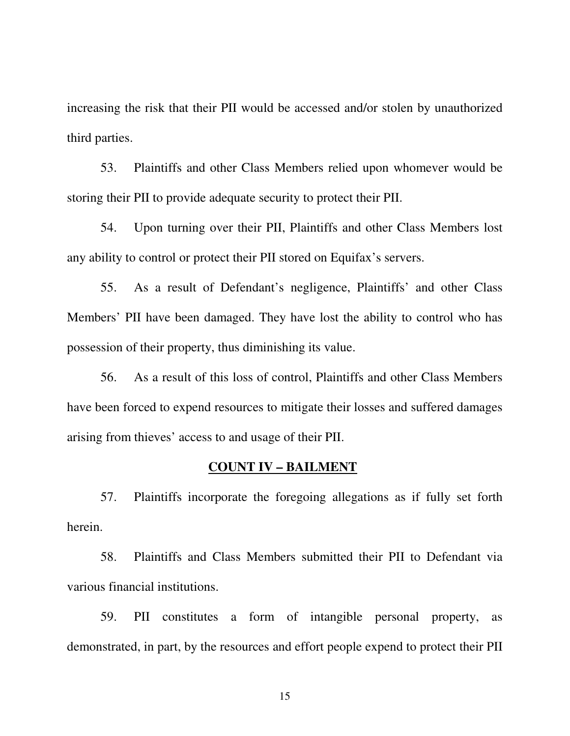increasing the risk that their PII would be accessed and/or stolen by unauthorized third parties.

53. Plaintiffs and other Class Members relied upon whomever would be storing their PII to provide adequate security to protect their PII.

54. Upon turning over their PII, Plaintiffs and other Class Members lost any ability to control or protect their PII stored on Equifax's servers.

55. As a result of Defendant's negligence, Plaintiffs' and other Class Members' PII have been damaged. They have lost the ability to control who has possession of their property, thus diminishing its value.

56. As a result of this loss of control, Plaintiffs and other Class Members have been forced to expend resources to mitigate their losses and suffered damages arising from thieves' access to and usage of their PII.

#### **COUNT IV – BAILMENT**

57. Plaintiffs incorporate the foregoing allegations as if fully set forth herein.

58. Plaintiffs and Class Members submitted their PII to Defendant via various financial institutions.

59. PII constitutes a form of intangible personal property, as demonstrated, in part, by the resources and effort people expend to protect their PII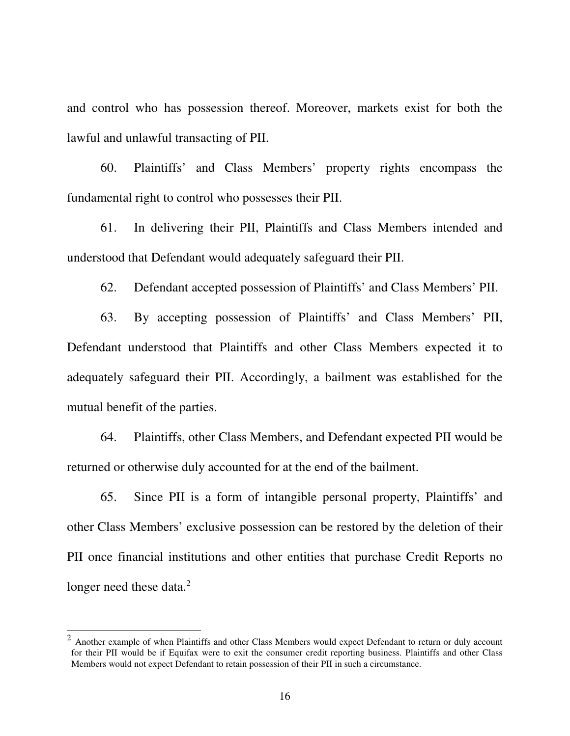and control who has possession thereof. Moreover, markets exist for both the lawful and unlawful transacting of PII.

60. Plaintiffs' and Class Members' property rights encompass the fundamental right to control who possesses their PII.

61. In delivering their PII, Plaintiffs and Class Members intended and understood that Defendant would adequately safeguard their PII.

62. Defendant accepted possession of Plaintiffs' and Class Members' PII.

63. By accepting possession of Plaintiffs' and Class Members' PII, Defendant understood that Plaintiffs and other Class Members expected it to adequately safeguard their PII. Accordingly, a bailment was established for the mutual benefit of the parties.

64. Plaintiffs, other Class Members, and Defendant expected PII would be returned or otherwise duly accounted for at the end of the bailment.

65. Since PII is a form of intangible personal property, Plaintiffs' and other Class Members' exclusive possession can be restored by the deletion of their PII once financial institutions and other entities that purchase Credit Reports no longer need these data.<sup>2</sup>

 $\overline{a}$ 

 $2$  Another example of when Plaintiffs and other Class Members would expect Defendant to return or duly account for their PII would be if Equifax were to exit the consumer credit reporting business. Plaintiffs and other Class Members would not expect Defendant to retain possession of their PII in such a circumstance.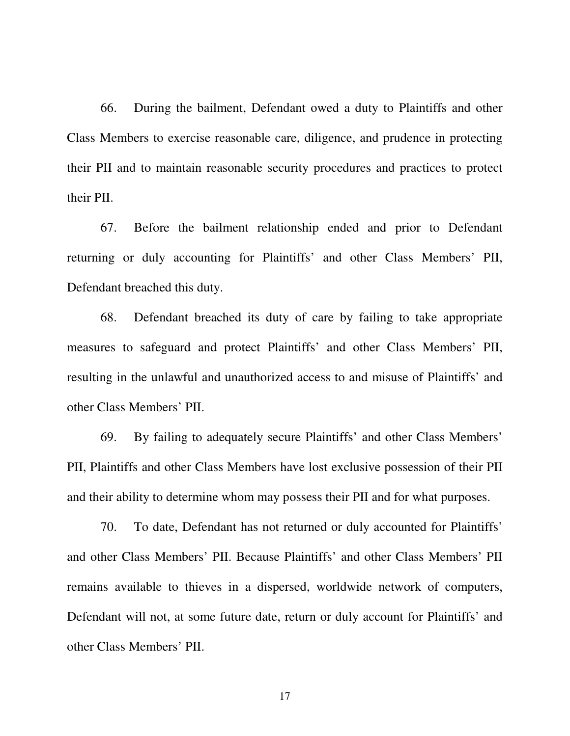66. During the bailment, Defendant owed a duty to Plaintiffs and other Class Members to exercise reasonable care, diligence, and prudence in protecting their PII and to maintain reasonable security procedures and practices to protect their PII.

67. Before the bailment relationship ended and prior to Defendant returning or duly accounting for Plaintiffs' and other Class Members' PII, Defendant breached this duty.

68. Defendant breached its duty of care by failing to take appropriate measures to safeguard and protect Plaintiffs' and other Class Members' PII, resulting in the unlawful and unauthorized access to and misuse of Plaintiffs' and other Class Members' PII.

69. By failing to adequately secure Plaintiffs' and other Class Members' PII, Plaintiffs and other Class Members have lost exclusive possession of their PII and their ability to determine whom may possess their PII and for what purposes.

70. To date, Defendant has not returned or duly accounted for Plaintiffs' and other Class Members' PII. Because Plaintiffs' and other Class Members' PII remains available to thieves in a dispersed, worldwide network of computers, Defendant will not, at some future date, return or duly account for Plaintiffs' and other Class Members' PII.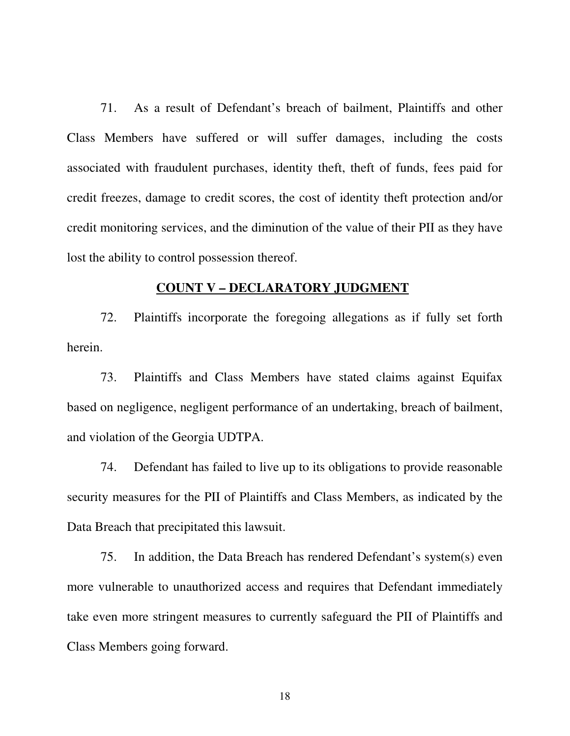71. As a result of Defendant's breach of bailment, Plaintiffs and other Class Members have suffered or will suffer damages, including the costs associated with fraudulent purchases, identity theft, theft of funds, fees paid for credit freezes, damage to credit scores, the cost of identity theft protection and/or credit monitoring services, and the diminution of the value of their PII as they have lost the ability to control possession thereof.

#### **COUNT V – DECLARATORY JUDGMENT**

72. Plaintiffs incorporate the foregoing allegations as if fully set forth herein.

73. Plaintiffs and Class Members have stated claims against Equifax based on negligence, negligent performance of an undertaking, breach of bailment, and violation of the Georgia UDTPA.

74. Defendant has failed to live up to its obligations to provide reasonable security measures for the PII of Plaintiffs and Class Members, as indicated by the Data Breach that precipitated this lawsuit.

75. In addition, the Data Breach has rendered Defendant's system(s) even more vulnerable to unauthorized access and requires that Defendant immediately take even more stringent measures to currently safeguard the PII of Plaintiffs and Class Members going forward.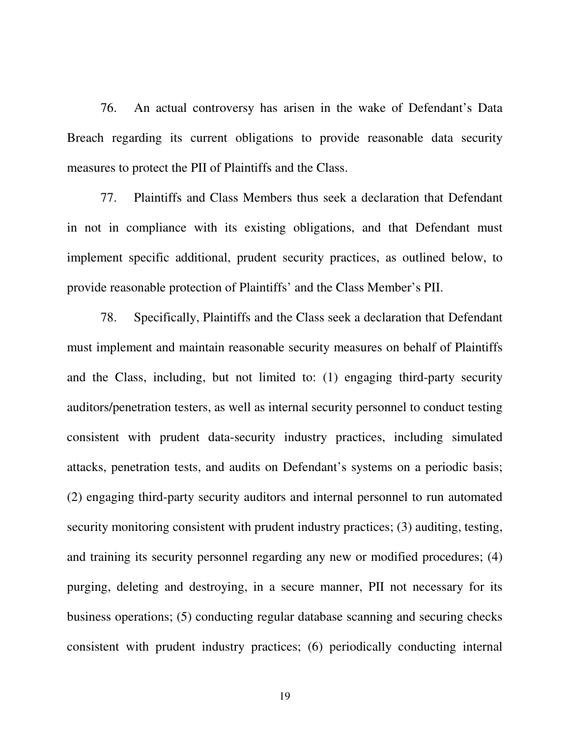76. An actual controversy has arisen in the wake of Defendant's Data Breach regarding its current obligations to provide reasonable data security measures to protect the PII of Plaintiffs and the Class.

77. Plaintiffs and Class Members thus seek a declaration that Defendant in not in compliance with its existing obligations, and that Defendant must implement specific additional, prudent security practices, as outlined below, to provide reasonable protection of Plaintiffs' and the Class Member's PII.

78. Specifically, Plaintiffs and the Class seek a declaration that Defendant must implement and maintain reasonable security measures on behalf of Plaintiffs and the Class, including, but not limited to: (1) engaging third-party security auditors/penetration testers, as well as internal security personnel to conduct testing consistent with prudent data-security industry practices, including simulated attacks, penetration tests, and audits on Defendant's systems on a periodic basis; (2) engaging third-party security auditors and internal personnel to run automated security monitoring consistent with prudent industry practices; (3) auditing, testing, and training its security personnel regarding any new or modified procedures; (4) purging, deleting and destroying, in a secure manner, PII not necessary for its business operations; (5) conducting regular database scanning and securing checks consistent with prudent industry practices; (6) periodically conducting internal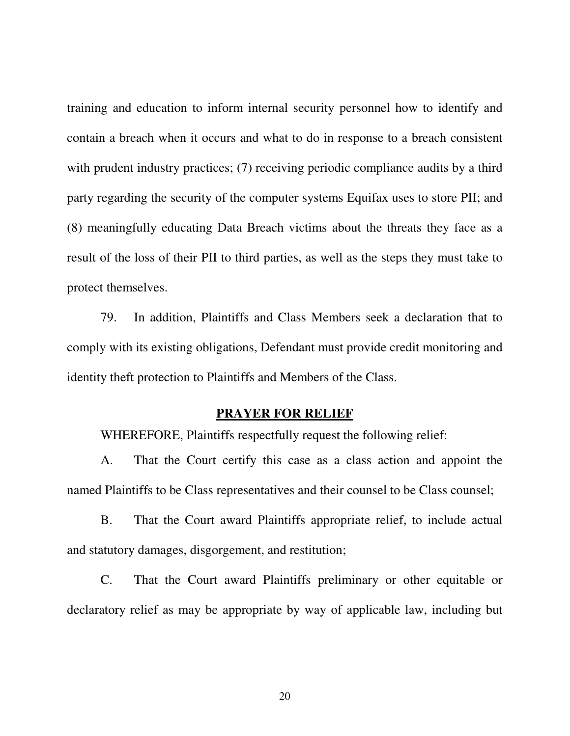training and education to inform internal security personnel how to identify and contain a breach when it occurs and what to do in response to a breach consistent with prudent industry practices; (7) receiving periodic compliance audits by a third party regarding the security of the computer systems Equifax uses to store PII; and (8) meaningfully educating Data Breach victims about the threats they face as a result of the loss of their PII to third parties, as well as the steps they must take to protect themselves.

79. In addition, Plaintiffs and Class Members seek a declaration that to comply with its existing obligations, Defendant must provide credit monitoring and identity theft protection to Plaintiffs and Members of the Class.

# **PRAYER FOR RELIEF**

WHEREFORE, Plaintiffs respectfully request the following relief:

A. That the Court certify this case as a class action and appoint the named Plaintiffs to be Class representatives and their counsel to be Class counsel;

B. That the Court award Plaintiffs appropriate relief, to include actual and statutory damages, disgorgement, and restitution;

C. That the Court award Plaintiffs preliminary or other equitable or declaratory relief as may be appropriate by way of applicable law, including but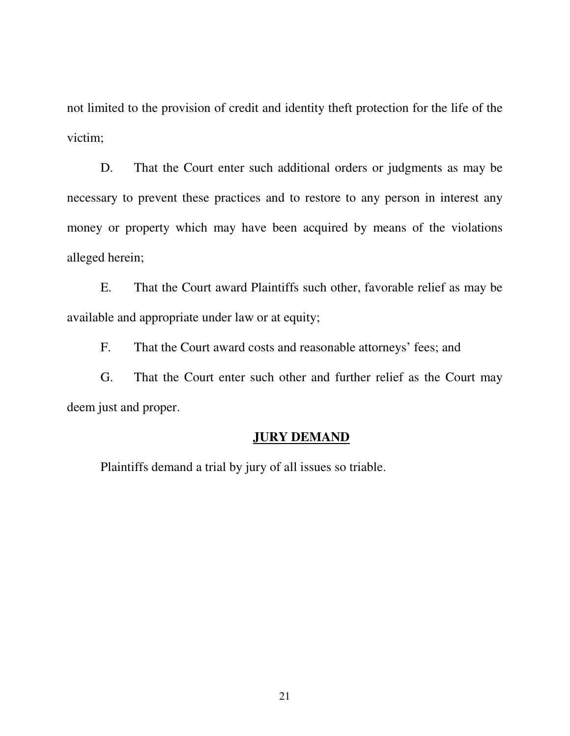not limited to the provision of credit and identity theft protection for the life of the victim;

D. That the Court enter such additional orders or judgments as may be necessary to prevent these practices and to restore to any person in interest any money or property which may have been acquired by means of the violations alleged herein;

E. That the Court award Plaintiffs such other, favorable relief as may be available and appropriate under law or at equity;

F. That the Court award costs and reasonable attorneys' fees; and

G. That the Court enter such other and further relief as the Court may deem just and proper.

# **JURY DEMAND**

Plaintiffs demand a trial by jury of all issues so triable.